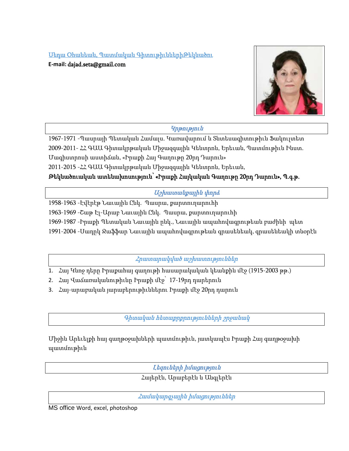Սեդա Օհանեան, Պատմական ԳիտութիւններիԹեկնածու **E-mail:** dajad.seta@gmail.com



## Կրթություն

1967-1971 -Պասրայի Պետական Համալս. Կառավարում և Տնտեսագիտութիւն Ֆակուլտետ 2009-2011- ՀՀ ԳԱԱ Գիտակրթական Միջազգային Կենտրոն, Երեւան, Պատմութիւն Ինստ. Մագիստրոսի աստիճան, «Իրաքի Հայ Գաղութը 20րդ Դարուն» 2011-2015 -ՀՀ ԳԱԱ Գիտակրթական Միջազգային Կենտրոն, Երեւան,

Թեկնածուական ատենախոսություն՝ «Իրաքի Հայկական Գաղութը 20րդ Դարուն», Պ.գ.թ.

Աշխատանքային փորձ

1958-1963 -Էվէրէթ Նաւային Ընկ. Պասրա, քարտուղարուհի 1963-1969 -Շաթ Էլ-Արաբ Նաւային Ընկ. Պասրա, քարտուղարուհի 1969-1987 -Իրաքի Պետական Նաւային ընկ., Նաւային ապահովագրութեան բաժինի պետ 1991-2004 -Սադըկ Ջաֆֆար Նաւային ապահովագրութեան գրասենեակ, գրասենեակի տնօրէն

Հրատարակված աշխատություններ

- 1. Հայ Կնոջ դերը Իրաքահայ գաղութի հասարակական կեանքին մէջ (1915-2003 թթ.)
- 2. Հայ Վաճառականութիւնը Իրաքի մէջ՝ 17-19րդ դարերուն
- 3. Հայ-արաբական յարաբերութիւններու Իրաքի մէջ 20րդ դարուն

Գիտական հետաքրքրությունների շրջանակ

Միջին Արեւելքի հայ գաղթօջախների պատմութիւն, յատկապէս Իրաքի Հայ գաղթօջախի պատմութիւն

Լեզուների իմացություն

Հայերէն, Արաբերէն և Անգլերէն

Համակարգչային իմացություններ

MS office Word, excel, photoshop